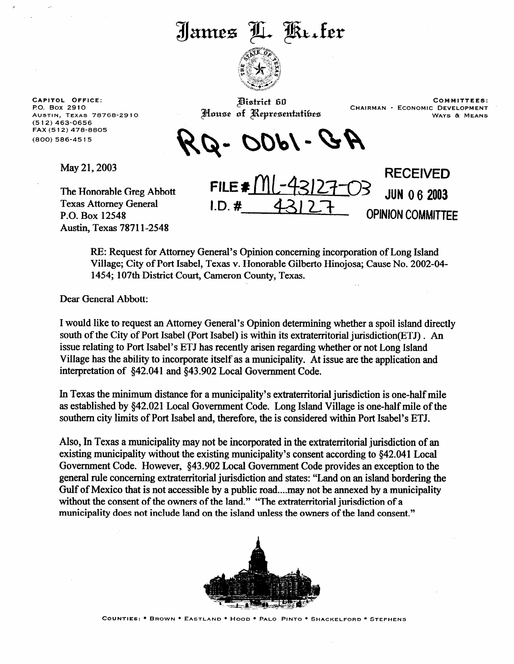## James L. Kerter



**CAPITOL OFFICE:**  PO. Box 2910 AUSTIN, TEXAS 78768-2910 **(5 12) 463-0656**  FAX (5 12) 478-8805 **(800) 586-45** 15

May 21,2003

The Honorable Greg Abbott Texas Attorney General P.O. Box 12548 Austin, Texas 7871 l-2548

House of Representatibes

Pistrict 60 and 10 and 10 and 10 and 10 and 10 and 10 and 10 and 10 and 10 and 10 and 10 and 10 and 10 and 10 and 10 and 10 and 10 and 10 and 10 and 10 and 10 and 10 and 10 and 10 and 10 and 10 and 10 and 10 and 10 and 10 CHAIRMAN - ECONOMIC DEVELOPMENT WAYS & MEANS

-1800 - Q

 $FILE#3$ 

**I.D.#** 

**RECEIVED**  JUN **0 6** 2003 **OPINION COMMITTEE** 

RE: Request for Attorney General's Opinion concerning incorporation of Long Island Village; City of Port Isabel, Texas v. Honorable Gilbert0 Hinojosa; Cause No. 2002-04- 1454; 107th District Court, Cameron County, Texas.

Dear General Abbott:

I would like to request an Attorney General's Opinion determining whether a spoil island directly south of the City of Port Isabel (Port Isabel) is within its extraterritorial jurisdiction(ETJ) . An issue relating to Port Isabel's ETJ has recently arisen regarding whether or not Long Island Village has the ability to incorporate itself as a municipality. At issue are the application and interpretation of \$42.041 and 543.902 Local Government Code.

In Texas the minimum distance for a municipality's extraterritorial jurisdiction is one-half mile as established by \$42.021 Local Government Code. Long Island Village is one-half mile of the southern city limits of Port Isabel and, therefore, the is considered within Port Isabel's ETJ.

Also, In Texas a municipality may not be incorporated in the extraterritorial jurisdiction of an existing municipality without the existing municipality's consent according to \$42.041 Local Government Code. However, \$43.902 Local Government Code provides an exception to the general rule concerning extraterritorial jurisdiction and states: "Land on an island bordering the Gulf of Mexico that is not accessible by a public road....may not be annexed by a municipality without the consent of the owners of the land." "The extraterritorial jurisdiction of a municipality does not include land on the island unless the owners of the land consent."



COUNTIES: \* BROWN \* EASTLAND \* HOOD \* PALO PINTO \* SHACKELFORD \* STEPHENS